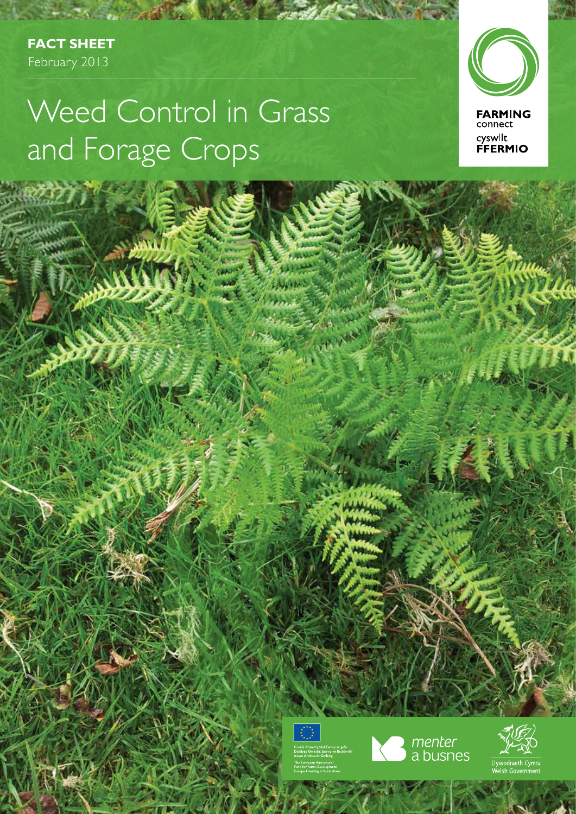**Fact Sheet** February 2013

# Weed Control in Grass and Forage Crops





i. i N





 $154$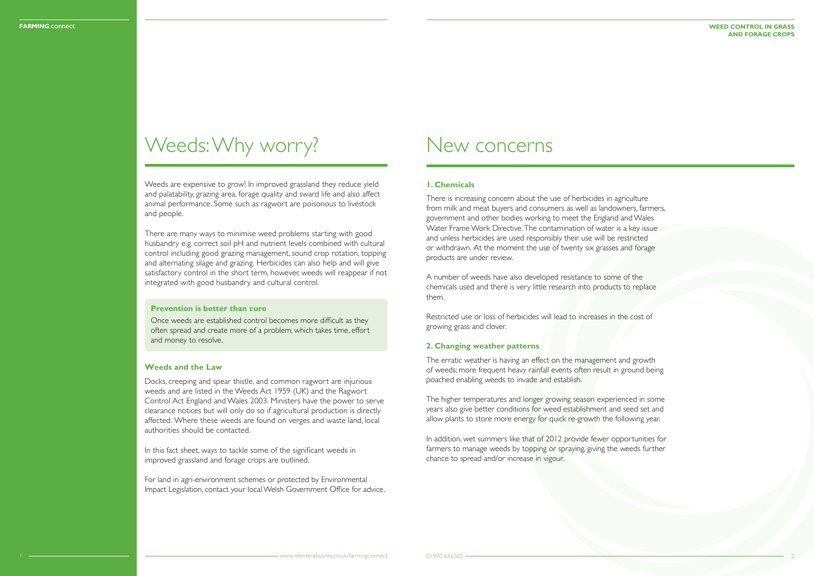Weeds are expensive to grow! In improved grassland they reduce yield and palatability, grazing area, forage quality and sward life and also affect animal performance. Some such as ragwort are poisonous to livestock and people.

There are many ways to minimise weed problems starting with good husbandry e.g. correct soil pH and nutrient levels combined with cultural control including good grazing management, sound crop rotation, topping and alternating silage and grazing. Herbicides can also help and will give satisfactory control in the short term, however, weeds will reappear if not integrated with good husbandry and cultural control.

## **1. Chemicals**

There is increasing concern about the use of herbicides in agriculture from milk and meat buyers and consumers as well as landowners, farmers, government and other bodies working to meet the England and Wales Water Frame Work Directive. The contamination of water is a key issue and unless herbicides are used responsibly their use will be restricted or withdrawn. At the moment the use of twenty six grasses and forage products are under review.

A number of weeds have also developed resistance to some of the chemicals used and there is very little research into products to replace them.

Restricted use or loss of herbicides will lead to increases in the cost of growing grass and clover.

#### **2. Changing weather patterns**

The erratic weather is having an effect on the management and growth of weeds; more frequent heavy rainfall events often result in ground being poached enabling weeds to invade and establish.

The higher temperatures and longer growing season experienced in some years also give better conditions for weed establishment and seed set and allow plants to store more energy for quick re-growth the following year.

In addition, wet summers like that of 2012 provide fewer opportunities for farmers to manage weeds by topping or spraying, giving the weeds further chance to spread and/or increase in vigour.

### **Weed Control in Grass and Forage Crops**

## Weeds: Why worry?

## **Prevention is better than cure**

Once weeds are established control becomes more difficult as they often spread and create more of a problem, which takes time, effort and money to resolve.

## **Weeds and the Law**

Docks, creeping and spear thistle, and common ragwort are injurious weeds and are listed in the Weeds Act 1959 (UK) and the Ragwort Control Act England and Wales 2003. Ministers have the power to serve clearance notices but will only do so if agricultural production is directly affected. Where these weeds are found on verges and waste land, local authorities should be contacted.

In this fact sheet, ways to tackle some of the significant weeds in improved grassland and forage crops are outlined.

For land in agri-environment schemes or protected by Environmental Impact Legislation, contact your local Welsh Government Office for advice.

## New concerns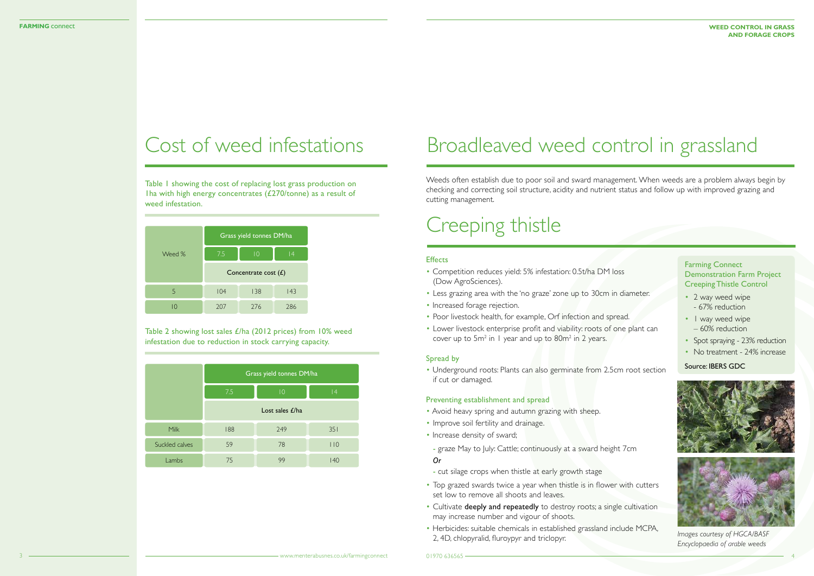Table 1 showing the cost of replacing lost grass production on Iha with high energy concentrates  $(£270/tonne)$  as a result of weed infestation.

- Competition reduces yield: 5% infestation: 0.5t/ha DM loss (Dow AgroSciences).
- Less grazing area with the 'no graze' zone up to 30cm in diameter.
- Increased forage rejection.
- Poor livestock health, for example, Orf infection and spread.
- Lower livestock enterprise profit and viability: roots of one plant can cover up to  $5m^2$  in 1 year and up to  $80m^2$  in 2 years.

Table 2 showing lost sales £/ha (2012 prices) from 10% weed infestation due to reduction in stock carrying capacity.

## Cost of weed infestations

### Spread by

• Underground roots: Plants can also germinate from 2.5cm root section if cut or damaged.

## Preventing establishment and spread

- 2 way weed wipe - 67% reduction
- I way weed wipe – 60% reduction
- Spot spraying 23% reduction
- No treatment 24% increase

- Avoid heavy spring and autumn grazing with sheep.
- Improve soil fertility and drainage.
- Increase density of sward;
- graze May to July: Cattle; continuously at a sward height 7cm *Or*
- cut silage crops when thistle at early growth stage
- Top grazed swards twice a year when thistle is in flower with cutters set low to remove all shoots and leaves.
- Cultivate deeply and repeatedly to destroy roots; a single cultivation may increase number and vigour of shoots.
- Herbicides: suitable chemicals in established grassland include MCPA, 2, 4D, chlopyralid, fluroypyr and triclopyr.

| Weed % | Grass yield tonnes DM/ha |                 |    |
|--------|--------------------------|-----------------|----|
|        | 7.5                      | $\overline{10}$ | 14 |
|        | Concentrate cost $(E)$   |                 |    |
| 5      | 104                      | 138             | 43 |
|        |                          |                 |    |

|                | Grass yield tonnes DM/ha |             |     |  |
|----------------|--------------------------|-------------|-----|--|
|                | 7.5                      | $ 0\rangle$ | 4   |  |
|                | Lost sales $E/ha$        |             |     |  |
| Milk           | 188                      | 249         | 351 |  |
| Suckled calves | 59                       | 78          | 110 |  |
| Lambs          | 75                       | 99          | 140 |  |

# Broadleaved weed control in grassland

Weeds often establish due to poor soil and sward management. When weeds are a problem always begin by checking and correcting soil structure, acidity and nutrient status and follow up with improved grazing and cutting management.

> Farming Connect Demonstration Farm Project Creeping Thistle Control

Source: IBERS GDC



# Creeping thistle

## **Effects**

*Images courtesy of HGCA/BASF Encyclopaedia of arable weeds*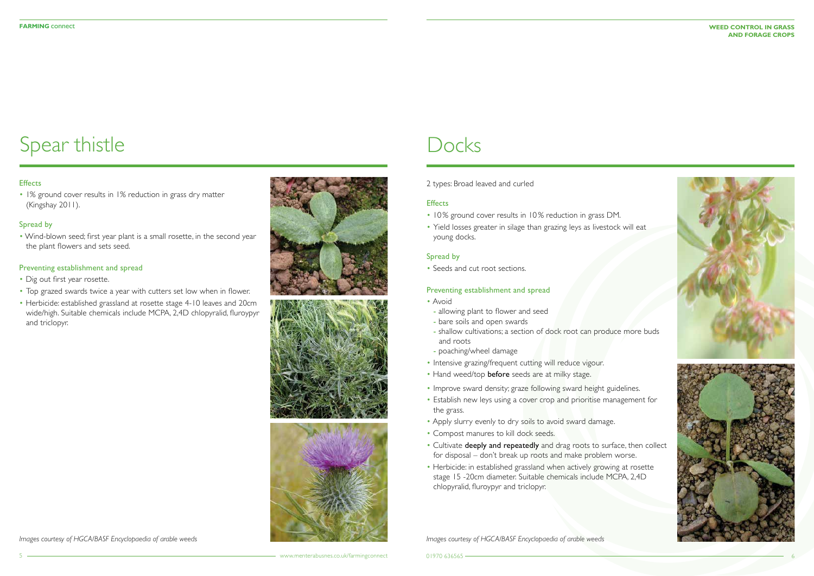### **FARMING** connect **WEED CONTROL IN GRAS and Forage Crops**





• 1% ground cover results in 1% reduction in grass dry matter (Kingshay 2011).

## Spread by

• Wind-blown seed; first year plant is a small rosette, in the second year the plant flowers and sets seed.

## Preventing establishment and spread

- 10% ground cover results in 10% reduction in grass DM.
- Yield losses greater in silage than grazing leys as livestock will eat young docks.

- Dig out first year rosette.
- Top grazed swards twice a year with cutters set low when in flower.
- Herbicide: established grassland at rosette stage 4-10 leaves and 20cm wide/high. Suitable chemicals include MCPA, 2,4D chlopyralid, fluroypyr and triclopyr.





## **Docks**

# Spear thistle

## **Effects**

2 types: Broad leaved and curled

## **Effects**

## Spread by

• Seeds and cut root sections.

## Preventing establishment and spread

- Avoid
- allowing plant to flower and seed
- bare soils and open swards
- shallow cultivations; a section of dock root can produce more buds and roots
- poaching/wheel damage
- Intensive grazing/frequent cutting will reduce vigour.
- Hand weed/top before seeds are at milky stage.
- Improve sward density; graze following sward height guidelines.
- Establish new leys using a cover crop and prioritise management for the grass.
- Apply slurry evenly to dry soils to avoid sward damage.
- Compost manures to kill dock seeds.
- Cultivate deeply and repeatedly and drag roots to surface, then collect for disposal – don't break up roots and make problem worse.
- Herbicide: in established grassland when actively growing at rosette stage 15 -20cm diameter. Suitable chemicals include MCPA, 2,4D chlopyralid, fluroypyr and triclopyr.

*Images courtesy of HGCA/BASF Encyclopaedia of arable weeds Images courtesy of HGCA/BASF Encyclopaedia of arable weeds*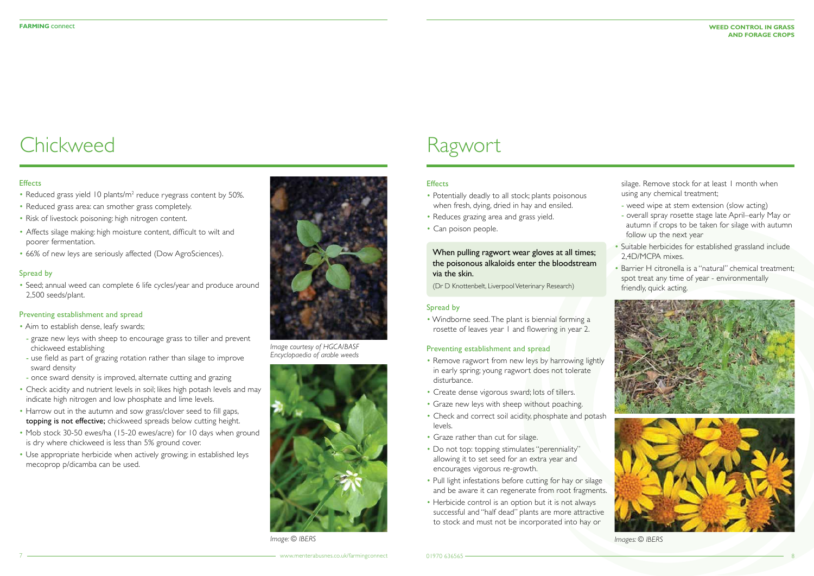### **FARMING** connect **WEED CONTROL IN GRAS and Forage Crops**

- Reduced grass yield 10 plants/m<sup>2</sup> reduce ryegrass content by 50%.
- Reduced grass area: can smother grass completely.
- Risk of livestock poisoning: high nitrogen content.
- Affects silage making: high moisture content, difficult to wilt and poorer fermentation.
- 66% of new leys are seriously affected (Dow AgroSciences).

## Spread by

• Seed; annual weed can complete 6 life cycles/year and produce around 2,500 seeds/plant.

### Preventing establishment and spread

- Potentially deadly to all stock; plants poisonous when fresh, dying, dried in hay and ensiled.
- Reduces grazing area and grass yield.
- Can poison people.

- Aim to establish dense, leafy swards;
- graze new leys with sheep to encourage grass to tiller and prevent chickweed establishing
- use field as part of grazing rotation rather than silage to improve sward density
- once sward density is improved, alternate cutting and grazing
- Check acidity and nutrient levels in soil; likes high potash levels and may indicate high nitrogen and low phosphate and lime levels.
- Harrow out in the autumn and sow grass/clover seed to fill gaps, topping is not effective; chickweed spreads below cutting height.
- Mob stock 30-50 ewes/ha (15-20 ewes/acre) for 10 days when ground is dry where chickweed is less than 5% ground cover.
- Use appropriate herbicide when actively growing; in established leys mecoprop p/dicamba can be used.
- Remove ragwort from new leys by harrowing lightly in early spring; young ragwort does not tolerate disturbance.
- Create dense vigorous sward; lots of tillers.
- Graze new leys with sheep without poaching.
- Check and correct soil acidity, phosphate and potash levels.
- Graze rather than cut for silage.
- Do not top: topping stimulates "perenniality" allowing it to set seed for an extra year and encourages vigorous re-growth.
- Pull light infestations before cutting for hay or silage and be aware it can regenerate from root fragments.
- Herbicide control is an option but it is not always successful and "half dead" plants are more attractive to stock and must not be incorporated into hay or

silage. Remove stock for at least 1 month when using any chemical treatment;

# Chickweed

## **Effects**

## Spread by

• Windborne seed. The plant is biennial forming a rosette of leaves year 1 and flowering in year 2.

## Preventing establishment and spread

## Ragwort

## **Effects**

## When pulling ragwort wear gloves at all times; the poisonous alkaloids enter the bloodstream via the skin.

(Dr D Knottenbelt, Liverpool Veterinary Research)

- weed wipe at stem extension (slow acting)
- overall spray rosette stage late April–early May or autumn if crops to be taken for silage with autumn follow up the next year
- Suitable herbicides for established grassland include 2,4D/MCPA mixes.
- Barrier H citronella is a "natural" chemical treatment; spot treat any time of year - environmentally friendly, quick acting.





*Image courtesy of HGCA/BASF Encyclopaedia of arable weeds*



*Image: © IBERS Images: © IBERS*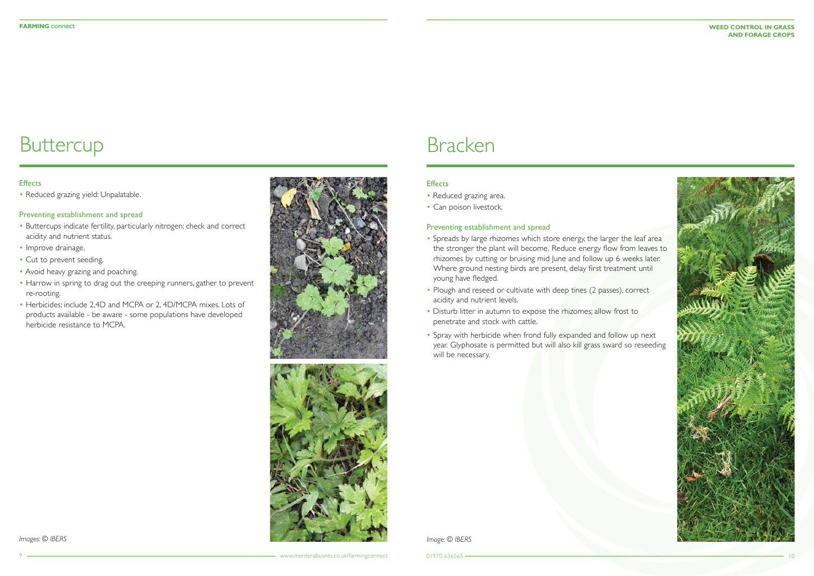# **Buttercup**

## **Effects**

### **FARMING** connect **WEED CONTROL IN GRAS and Forage Crops**



• Reduced grazing yield: Unpalatable.

## Preventing establishment and spread

- Buttercups indicate fertility, particularly nitrogen; check and correct acidity and nutrient status.
- Improve drainage.
- Cut to prevent seeding.
- Avoid heavy grazing and poaching.
- Harrow in spring to drag out the creeping runners, gather to prevent re-rooting.
- Herbicides: include 2,4D and MCPA or 2, 4D/MCPA mixes. Lots of products available - be aware - some populations have developed herbicide resistance to MCPA.



- Reduced grazing area.
- Can poison livestock.

## Preventing establishment and spread

- Spreads by large rhizomes which store energy, the larger the leaf area the stronger the plant will become. Reduce energy flow from leaves to rhizomes by cutting or bruising mid June and follow up 6 weeks later. Where ground nesting birds are present, delay first treatment until young have fledged.
- Plough and reseed or cultivate with deep tines (2 passes), correct acidity and nutrient levels.
- Disturb litter in autumn to expose the rhizomes; allow frost to penetrate and stock with cattle.
- Spray with herbicide when frond fully expanded and follow up next year. Glyphosate is permitted but will also kill grass sward so reseeding will be necessary.

## Bracken

## **Effects**

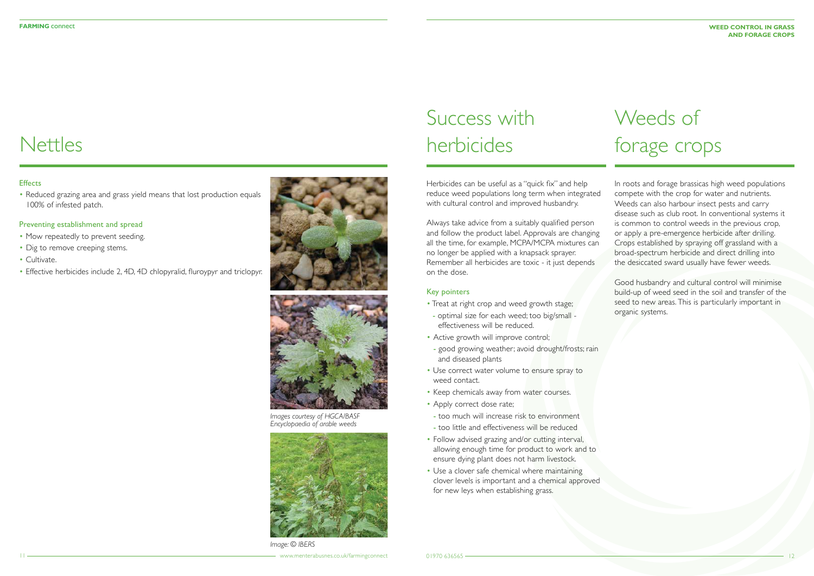# **Nettles**

## **Effects**

• Reduced grazing area and grass yield means that lost production equals 100% of infested patch.

- Mow repeatedly to prevent seeding.
- Dig to remove creeping stems.
- Cultivate.
- Effective herbicides include 2, 4D, 4D chlopyralid, fluroypyr and triclopyr.



## Preventing establishment and spread

Herbicides can be useful as a "quick fix" and help reduce weed populations long term when integrated with cultural control and improved husbandry.

Always take advice from a suitably qualified person and follow the product label. Approvals are changing all the time, for example, MCPA/MCPA mixtures can no longer be applied with a knapsack sprayer. Remember all herbicides are toxic - it just depends on the dose.

## Key pointers

- Treat at right crop and weed growth stage;
- optimal size for each weed; too big/small effectiveness will be reduced.
- Active growth will improve control;
- good growing weather; avoid drought/frosts; rain and diseased plants
- Use correct water volume to ensure spray to weed contact.
- Keep chemicals away from water courses.
- Apply correct dose rate;
- too much will increase risk to environment
- too little and effectiveness will be reduced
- Follow advised grazing and/or cutting interval, allowing enough time for product to work and to ensure dying plant does not harm livestock.
- Use a clover safe chemical where maintaining clover levels is important and a chemical approved for new leys when establishing grass.

# Success with herbicides

In roots and forage brassicas high weed populations compete with the crop for water and nutrients. Weeds can also harbour insect pests and carry disease such as club root. In conventional systems it is common to control weeds in the previous crop, or apply a pre-emergence herbicide after drilling. Crops established by spraying off grassland with a broad-spectrum herbicide and direct drilling into the desiccated sward usually have fewer weeds.

Good husbandry and cultural control will minimise build-up of weed seed in the soil and transfer of the seed to new areas. This is particularly important in organic systems.

# Weeds of forage crops



*Images courtesy of HGCA/BASF Encyclopaedia of arable weeds*



*Image: © IBERS*